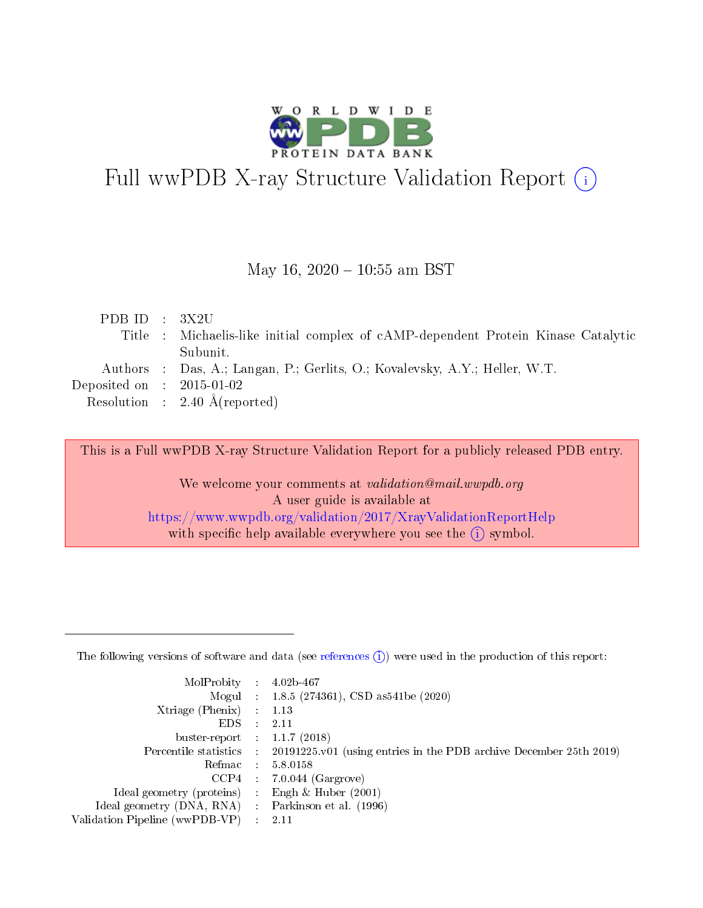

# Full wwPDB X-ray Structure Validation Report (i)

#### May 16,  $2020 - 10:55$  am BST

| Title : Michaelis-like initial complex of cAMP-dependent Protein Kinase Catalytic |
|-----------------------------------------------------------------------------------|
|                                                                                   |
|                                                                                   |
|                                                                                   |
|                                                                                   |
|                                                                                   |

This is a Full wwPDB X-ray Structure Validation Report for a publicly released PDB entry.

We welcome your comments at validation@mail.wwpdb.org A user guide is available at <https://www.wwpdb.org/validation/2017/XrayValidationReportHelp> with specific help available everywhere you see the  $(i)$  symbol.

The following versions of software and data (see [references](https://www.wwpdb.org/validation/2017/XrayValidationReportHelp#references)  $(1)$ ) were used in the production of this report:

| MolProbity : 4.02b-467         |   |                                                                                              |
|--------------------------------|---|----------------------------------------------------------------------------------------------|
|                                |   | Mogul : 1.8.5 (274361), CSD as 541be (2020)                                                  |
| $X$ triage (Phenix) :          |   | 1.13                                                                                         |
| EDS.                           |   | 2.11                                                                                         |
| buster-report : $1.1.7$ (2018) |   |                                                                                              |
|                                |   | Percentile statistics : $20191225.v01$ (using entries in the PDB archive December 25th 2019) |
| Refmac :                       |   | 5.8.0158                                                                                     |
| CCP4                           |   | $7.0.044$ (Gargrove)                                                                         |
| Ideal geometry (proteins) :    |   | Engh $\&$ Huber (2001)                                                                       |
| Ideal geometry (DNA, RNA) :    |   | Parkinson et al. (1996)                                                                      |
| Validation Pipeline (wwPDB-VP) | ÷ | -2.11                                                                                        |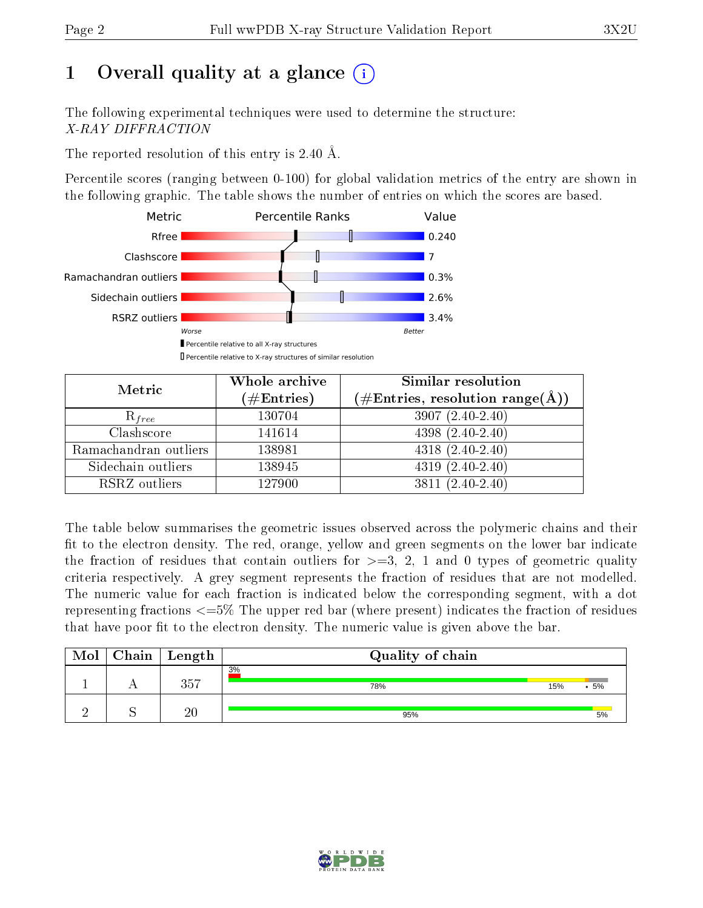# 1 [O](https://www.wwpdb.org/validation/2017/XrayValidationReportHelp#overall_quality)verall quality at a glance  $(i)$

The following experimental techniques were used to determine the structure: X-RAY DIFFRACTION

The reported resolution of this entry is 2.40 Å.

Percentile scores (ranging between 0-100) for global validation metrics of the entry are shown in the following graphic. The table shows the number of entries on which the scores are based.



| Metric                | Whole archive<br>$(\#\text{Entries})$ | Similar resolution<br>$(\#\text{Entries},\,\text{resolution}\,\,\text{range}(\textup{\AA}))$ |
|-----------------------|---------------------------------------|----------------------------------------------------------------------------------------------|
| $R_{free}$            | 130704                                | $3907(2.40-2.40)$                                                                            |
| Clashscore            | 141614                                | $4398(2.40-2.40)$                                                                            |
| Ramachandran outliers | 138981                                | $4318 (2.40 - 2.40)$                                                                         |
| Sidechain outliers    | 138945                                | $4319(2.40-2.40)$                                                                            |
| RSRZ outliers         | 127900                                | $3811 (2.40 - 2.40)$                                                                         |

The table below summarises the geometric issues observed across the polymeric chains and their fit to the electron density. The red, orange, yellow and green segments on the lower bar indicate the fraction of residues that contain outliers for  $>=3, 2, 1$  and 0 types of geometric quality criteria respectively. A grey segment represents the fraction of residues that are not modelled. The numeric value for each fraction is indicated below the corresponding segment, with a dot representing fractions <=5% The upper red bar (where present) indicates the fraction of residues that have poor fit to the electron density. The numeric value is given above the bar.

| Mol | Chain   Length | Quality of chain |     |        |
|-----|----------------|------------------|-----|--------|
|     | 357            | 3%<br>78%        | 15% | $.5\%$ |
|     | 20             | 95%              |     | 5%     |

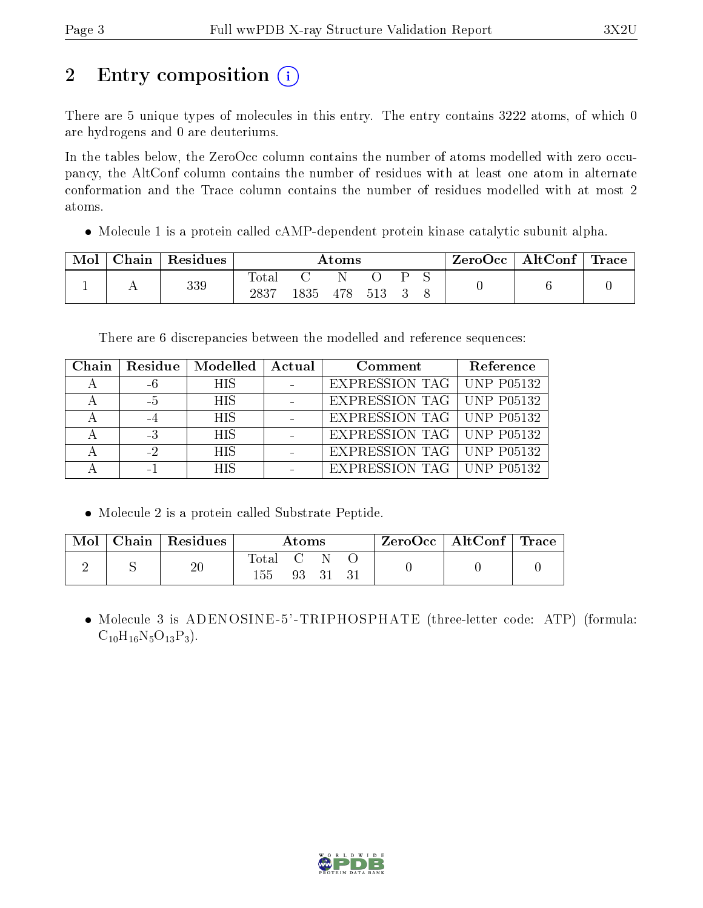# 2 Entry composition (i)

There are 5 unique types of molecules in this entry. The entry contains 3222 atoms, of which 0 are hydrogens and 0 are deuteriums.

In the tables below, the ZeroOcc column contains the number of atoms modelled with zero occupancy, the AltConf column contains the number of residues with at least one atom in alternate conformation and the Trace column contains the number of residues modelled with at most 2 atoms.

Molecule 1 is a protein called cAMP-dependent protein kinase catalytic subunit alpha.

| Mol | Chain Residues | $\rm{Atoms}$        |                |  |  |  | $\text{ZeroOcc}$   AltConf   Trace |  |  |
|-----|----------------|---------------------|----------------|--|--|--|------------------------------------|--|--|
|     | 339            | $\rm Total$<br>2837 | 1835 478 513 3 |  |  |  |                                    |  |  |

There are 6 discrepancies between the modelled and reference sequences:

| Chain |      | Residue   Modelled | Actual | Comment                            | Reference |
|-------|------|--------------------|--------|------------------------------------|-----------|
|       |      | <b>HIS</b>         |        | <b>EXPRESSION TAG   UNP P05132</b> |           |
|       | $-5$ | <b>HIS</b>         |        | EXPRESSION TAG   UNP P05132        |           |
|       |      | <b>HIS</b>         |        | <b>EXPRESSION TAG   UNP P05132</b> |           |
|       | -3   | <b>HIS</b>         |        | EXPRESSION TAG   UNP P05132        |           |
|       | -2   | <b>HIS</b>         |        | <b>EXPRESSION TAG   UNP P05132</b> |           |
|       |      | HIS                |        | <b>EXPRESSION TAG   UNP P05132</b> |           |

Molecule 2 is a protein called Substrate Peptide.

| Mol | $Chain   Residues$ | Atoms        |       |  |  | ZeroOcc   AltConf   Trace |  |
|-----|--------------------|--------------|-------|--|--|---------------------------|--|
|     | 20                 | Total<br>155 | 93 31 |  |  |                           |  |

 Molecule 3 is ADENOSINE-5'-TRIPHOSPHATE (three-letter code: ATP) (formula:  $C_{10}H_{16}N_5O_{13}P_3$ .

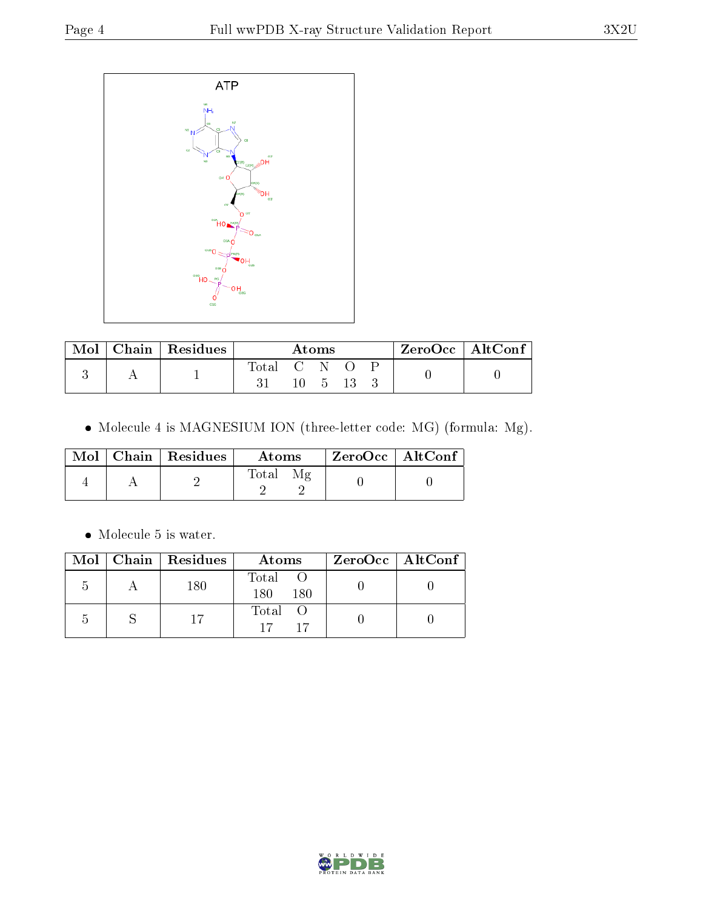

| Mol | $\perp$ Chain   Residues | Atoms     |  |  | $\rm ZeroOcc \mid AltConf$ |  |  |
|-----|--------------------------|-----------|--|--|----------------------------|--|--|
|     |                          | Total C N |  |  |                            |  |  |
|     |                          |           |  |  |                            |  |  |

 $\bullet$  Molecule 4 is MAGNESIUM ION (three-letter code: MG) (formula: Mg).

|  | $Mol$   Chain   Residues | Atoms | $ZeroOcc \   \ AltConf$ |
|--|--------------------------|-------|-------------------------|
|  |                          | Total |                         |

 $\bullet\,$  Molecule 5 is water.

|  | Mol   Chain   Residues | Atoms               | $ZeroOcc \mid AltConf \mid$ |
|--|------------------------|---------------------|-----------------------------|
|  | 180                    | Total<br>180<br>180 |                             |
|  |                        | Total O<br>$17^{-}$ |                             |

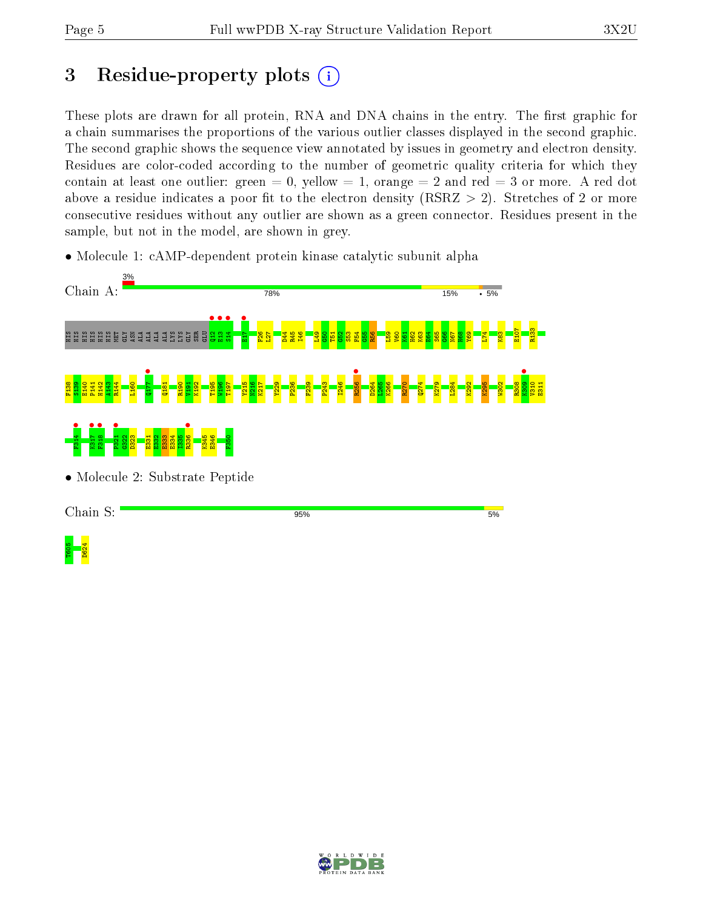# 3 Residue-property plots  $(i)$

These plots are drawn for all protein, RNA and DNA chains in the entry. The first graphic for a chain summarises the proportions of the various outlier classes displayed in the second graphic. The second graphic shows the sequence view annotated by issues in geometry and electron density. Residues are color-coded according to the number of geometric quality criteria for which they contain at least one outlier: green  $= 0$ , yellow  $= 1$ , orange  $= 2$  and red  $= 3$  or more. A red dot above a residue indicates a poor fit to the electron density (RSRZ  $> 2$ ). Stretches of 2 or more consecutive residues without any outlier are shown as a green connector. Residues present in the sample, but not in the model, are shown in grey.

• Molecule 1: cAMP-dependent protein kinase catalytic subunit alpha



• Molecule 2: Substrate Peptide

Chain S:

95%

 $5%$ 

T605<br>D624

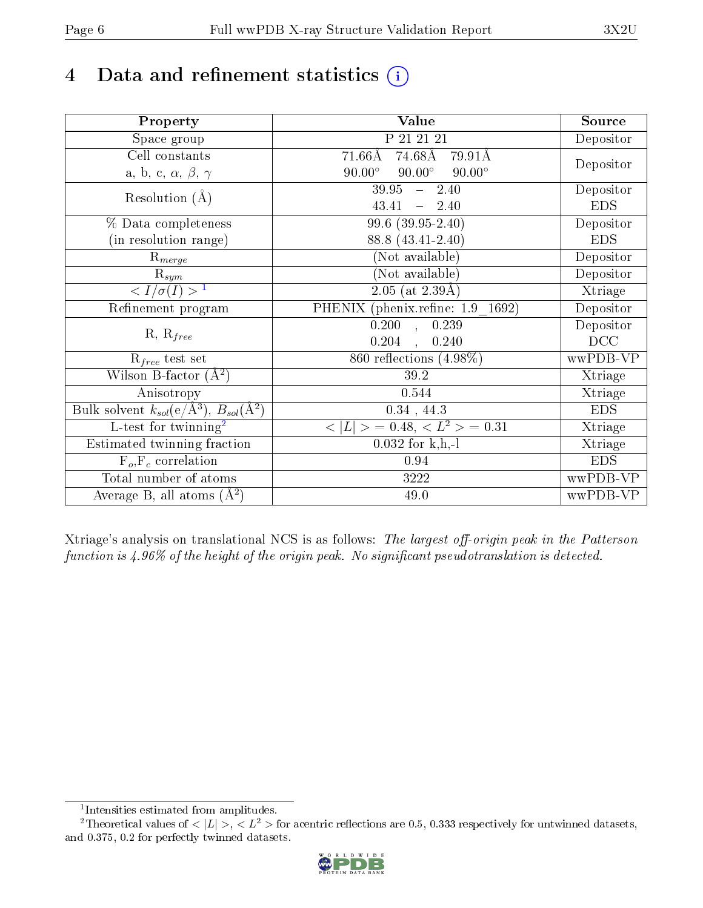# 4 Data and refinement statistics  $(i)$

| Property                                                             | Value                                            | Source     |
|----------------------------------------------------------------------|--------------------------------------------------|------------|
| Space group                                                          | P 21 21 21                                       | Depositor  |
| Cell constants                                                       | $74.68\text{\AA}$<br>$71.66\text{\AA}$<br>79.91Å |            |
| a, b, c, $\alpha$ , $\beta$ , $\gamma$                               | $90.00^\circ$<br>$90.00^\circ$<br>$90.00^\circ$  | Depositor  |
| Resolution $(A)$                                                     | $39.95 - 2.40$                                   | Depositor  |
|                                                                      | 43.41<br>2.40<br>$\frac{1}{2}$                   | <b>EDS</b> |
| % Data completeness                                                  | 99.6 (39.95-2.40)                                | Depositor  |
| (in resolution range)                                                | 88.8 (43.41-2.40)                                | <b>EDS</b> |
| $R_{merge}$                                                          | (Not available)                                  | Depositor  |
| $\mathrm{R}_{sym}$                                                   | (Not available)                                  | Depositor  |
| $\langle I/\sigma(I) \rangle^{-1}$                                   | $\overline{2.05 \text{ (at } 2.39\text{\AA})}$   | Xtriage    |
| Refinement program                                                   | PHENIX (phenix.refine: 1.9 1692)                 | Depositor  |
| $R, R_{free}$                                                        | $\overline{0.200}$ ,<br>0.239                    | Depositor  |
|                                                                      | 0.204<br>0.240<br>$\mathbf{A}$                   | DCC        |
| $R_{free}$ test set                                                  | 860 reflections $(4.98\%)$                       | wwPDB-VP   |
| Wilson B-factor $(A^2)$                                              | 39.2                                             | Xtriage    |
| Anisotropy                                                           | 0.544                                            | Xtriage    |
| Bulk solvent $k_{sol}(e/\mathring{A}^3)$ , $B_{sol}(\mathring{A}^2)$ | $0.34$ , 44.3                                    | <b>EDS</b> |
| L-test for twinning <sup>2</sup>                                     | $>$ = 0.48, < $L^2$ > = 0.31<br>< L              | Xtriage    |
| Estimated twinning fraction                                          | $0.032$ for k,h,-l                               | Xtriage    |
| $F_o, F_c$ correlation                                               | 0.94                                             | <b>EDS</b> |
| Total number of atoms                                                | $3222\,$                                         | wwPDB-VP   |
| Average B, all atoms $(A^2)$                                         | 49.0                                             | wwPDB-VP   |

Xtriage's analysis on translational NCS is as follows: The largest off-origin peak in the Patterson function is  $4.96\%$  of the height of the origin peak. No significant pseudotranslation is detected.

<sup>&</sup>lt;sup>2</sup>Theoretical values of  $\langle |L| \rangle$ ,  $\langle L^2 \rangle$  for acentric reflections are 0.5, 0.333 respectively for untwinned datasets, and 0.375, 0.2 for perfectly twinned datasets.



<span id="page-5-1"></span><span id="page-5-0"></span><sup>1</sup> Intensities estimated from amplitudes.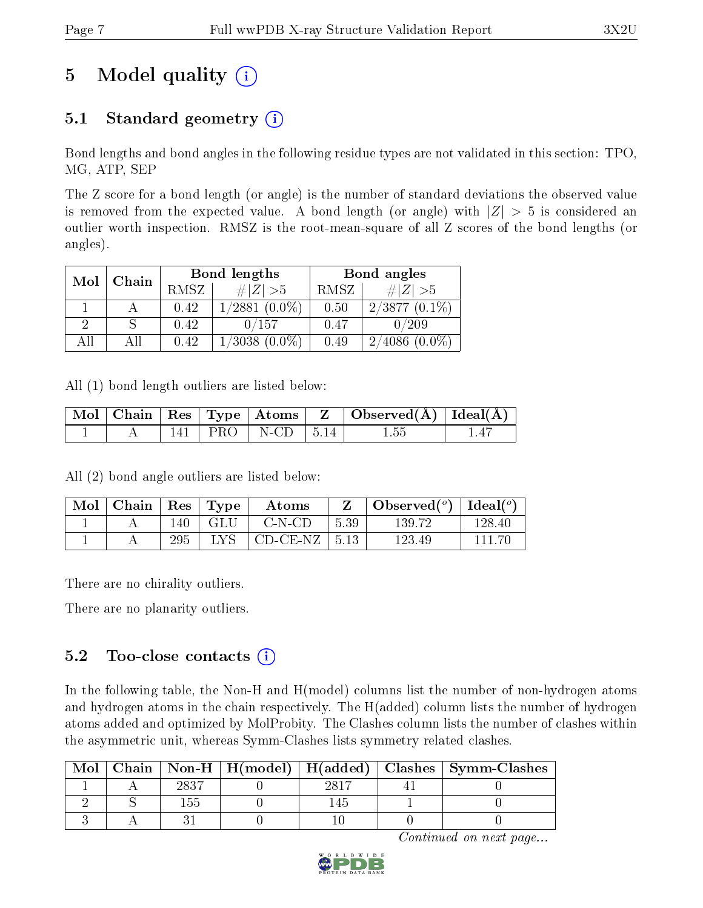# 5 Model quality  $(i)$

## 5.1 Standard geometry  $(i)$

Bond lengths and bond angles in the following residue types are not validated in this section: TPO, MG, ATP, SEP

The Z score for a bond length (or angle) is the number of standard deviations the observed value is removed from the expected value. A bond length (or angle) with  $|Z| > 5$  is considered an outlier worth inspection. RMSZ is the root-mean-square of all Z scores of the bond lengths (or angles).

| Mol | Chain |      | Bond lengths       | Bond angles |                             |  |
|-----|-------|------|--------------------|-------------|-----------------------------|--|
|     |       | RMSZ | $\# Z  > 5$        | RMSZ        | # $ Z  > 5$                 |  |
|     |       | 0.42 | $1/2881$ $(0.0\%)$ | 0.50        | $2/3877(0.1\%)$             |  |
|     |       | 0.42 | 0/157              | 0.47        | 0/209                       |  |
| AH  |       | 0.42 | $1/3038$ $(0.0\%)$ | 0.49        | $(0.0\%)$<br>$^\prime 4086$ |  |

All (1) bond length outliers are listed below:

|  |  |                           | $\mid$ Mol $\mid$ Chain $\mid$ Res $\mid$ Type $\mid$ Atoms $\mid$ Z $\mid$ Observed(A) $\mid$ Ideal(A) $\mid$ |  |
|--|--|---------------------------|----------------------------------------------------------------------------------------------------------------|--|
|  |  | $141$   PRO   N-CD   5.14 | 1.55                                                                                                           |  |

All (2) bond angle outliers are listed below:

| Mol | Chain | $^{\circ}$ Res | $\perp$ Type | Atoms             |      | Observed $(°)$ | $_1$ Ideal( $^o$ ) |
|-----|-------|----------------|--------------|-------------------|------|----------------|--------------------|
|     |       | 140            | -GLU         | $C-N-CD$          | 5.39 | 139.72         | 128.40             |
|     |       | 295            | LVS          | $CD-CE-NZ$   5.13 |      | 123.49         | -111-76            |

There are no chirality outliers.

There are no planarity outliers.

### 5.2 Too-close contacts  $(i)$

In the following table, the Non-H and H(model) columns list the number of non-hydrogen atoms and hydrogen atoms in the chain respectively. The H(added) column lists the number of hydrogen atoms added and optimized by MolProbity. The Clashes column lists the number of clashes within the asymmetric unit, whereas Symm-Clashes lists symmetry related clashes.

| Mol |       |      | Chain   Non-H   H(model)   H(added)   Clashes   Symm-Clashes |
|-----|-------|------|--------------------------------------------------------------|
|     | റാെ 7 | 2817 |                                                              |
|     |       |      |                                                              |
|     |       |      |                                                              |

Continued on next page...

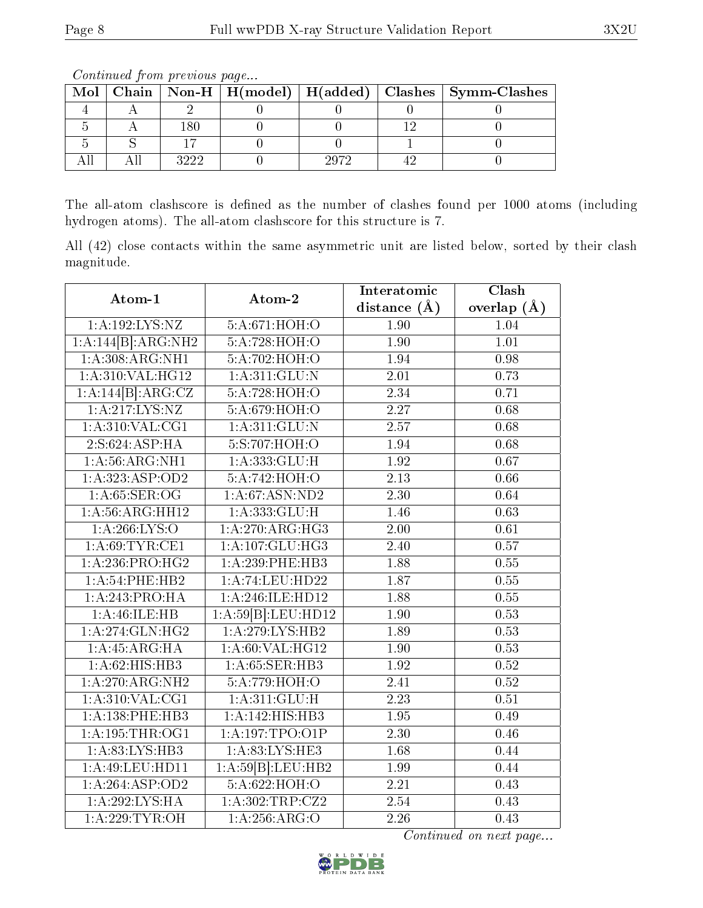|  |                |  | Mol   Chain   Non-H   H(model)   H(added)   Clashes   Symm-Clashes |
|--|----------------|--|--------------------------------------------------------------------|
|  |                |  |                                                                    |
|  |                |  |                                                                    |
|  |                |  |                                                                    |
|  | <u> 222 - </u> |  |                                                                    |

Continued from previous page...

The all-atom clashscore is defined as the number of clashes found per 1000 atoms (including hydrogen atoms). The all-atom clashscore for this structure is 7.

All (42) close contacts within the same asymmetric unit are listed below, sorted by their clash magnitude.

| Atom-1              | Atom-2             | Interatomic       | Clash           |  |
|---------------------|--------------------|-------------------|-----------------|--|
|                     |                    | distance $(A)$    | overlap $(\AA)$ |  |
| 1: A:192:LYS:NZ     | 5:A:671:HOH:O      | $\overline{1.90}$ | 1.04            |  |
| 1:A:144[B]:ARG:NH2  | 5:A:728:HOH:O      | 1.90              | 1.01            |  |
| 1: A:308: ARG: NH1  | 5:A:702:HOH:O      | 1.94              | 0.98            |  |
| 1:A:310:VAL:HG12    | 1: A:311: GLU:N    | 2.01              | 0.73            |  |
| 1:A:144[B]:ARG:CZ   | 5:A:728:HOH:O      | 2.34              | 0.71            |  |
| 1:A:217:LYS:NZ      | 5:A:679:HOH:O      | 2.27              | 0.68            |  |
| $1:$ A:310:VAL:CG1  | 1: A:311: GLU: N   | 2.57              | 0.68            |  |
| 2: S:624: ASP:HA    | 5:S:707:HOH:O      | 1.94              | 0.68            |  |
| 1:A:56:ARG:NH1      | 1: A: 333: GLU: H  | 1.92              | 0.67            |  |
| 1: A: 323: ASP: OD2 | 5:A:742:HOH:O      | $\overline{2.13}$ | 0.66            |  |
| 1: A:65: SER:OG     | 1: A:67: ASN:ND2   | 2.30              | 0.64            |  |
| 1: A:56: ARG: HH12  | 1:A:333:GLU:H      | 1.46              | 0.63            |  |
| 1: A:266:LYS:O      | 1:A:270:ARG:HG3    | $\overline{2.00}$ | 0.61            |  |
| 1: A:69:TYR:CE1     | 1:A:107:GLU:HG3    | 2.40              | 0.57            |  |
| 1: A:236:PRO:HG2    | 1:A:239:PHE:HB3    | 1.88              | 0.55            |  |
| 1: A:54:PHE:HB2     | 1:A:74:LEU:HD22    | 1.87              | 0.55            |  |
| 1:A:243:PRO:HA      | 1:A:246:ILE:HD12   | 1.88              | 0.55            |  |
| 1: A: 46: ILE: HB   | 1:A:59[B]:LEU:HD12 | 1.90              | 0.53            |  |
| 1: A:274: GLN: HG2  | 1:A:279:LYS:HB2    | 1.89              | 0.53            |  |
| 1:A:45:ARG:HA       | 1: A:60: VAL:HG12  | 1.90              | 0.53            |  |
| 1:A:62:HIS:HB3      | 1:A:65:SER:HB3     | 1.92              | $0.52\,$        |  |
| 1:A:270:ARG:NH2     | 5:A:779:HOH:O      | $\overline{2.41}$ | 0.52            |  |
| 1: A:310: VAL:CG1   | 1: A:311: GLU: H   | 2.23              | 0.51            |  |
| 1:A:138:PHE:HB3     | 1:A:142:HIS:HB3    | 1.95              | 0.49            |  |
| $1:$ A:195:THR:OG1  | 1: A:197:TPO:O1P   | $\overline{2.30}$ | 0.46            |  |
| 1: A:83: LYS: HB3   | 1: A:83: LYS: HE3  | 1.68              | 0.44            |  |
| 1: A:49: LEU: HD11  | 1:A:59[B]:LEU:HB2  | 1.99              | 0.44            |  |
| 1:A:264:ASP:OD2     | 5:A:622:HOH:O      | 2.21              | 0.43            |  |
| 1:A:292:LYS:HA      | 1:A:302:TRP:CZ2    | 2.54              | 0.43            |  |
| 1: A:229:TYR:OH     | 1: A:256: ARG:O    | 2.26              | 0.43            |  |

Continued on next page...

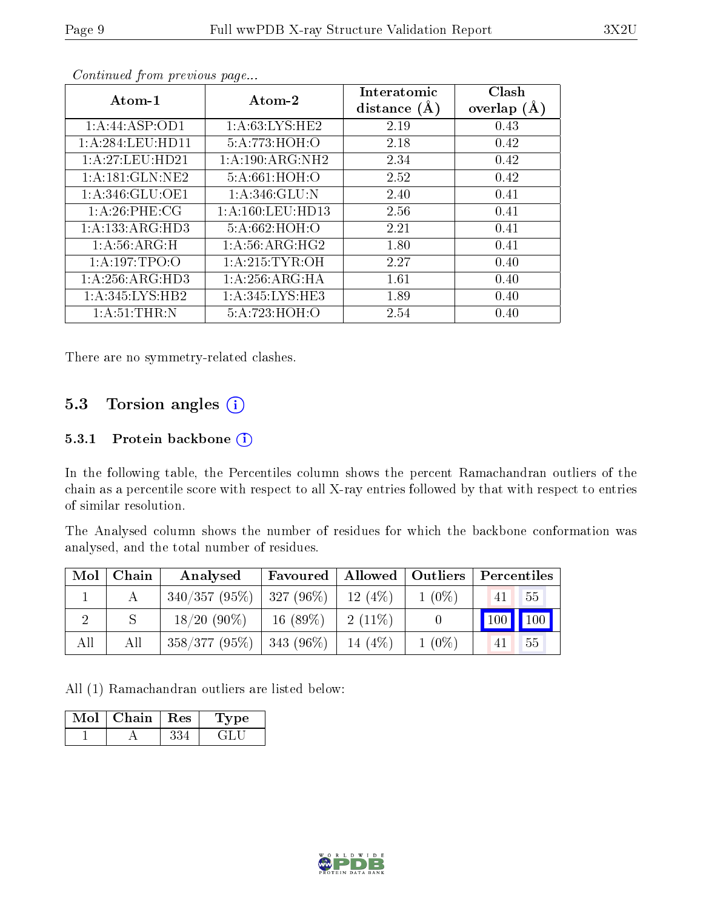| Atom-1              | Atom-2               | Interatomic<br>distance $(A)$ | Clash<br>overlap $(A)$ |
|---------------------|----------------------|-------------------------------|------------------------|
| 1:A:44:ASP:OD1      | 1: A:63:LYS:HE2      | 2.19                          | 0.43                   |
| 1:A:284:LEU:HD11    | 5:A:773:HOH:O        | 2.18                          | 0.42                   |
| 1: A:27:LEU:HD21    | 1:A:190:ARG:NH2      | 2.34                          | 0.42                   |
| 1:A:181:GLN:NE2     | 5:A:661:HOH:O        | 2.52                          | 0.42                   |
| 1: A:346: GLU:OE1   | 1: A:346: GLU:N      | 2.40                          | 0.41                   |
| 1: A:26:PHE:CG      | 1: A: 160: LEU: HD13 | 2.56                          | 0.41                   |
| 1: A: 133: ARG: HD3 | 5:A:662:HOH:O        | 2.21                          | 0.41                   |
| 1:A:56:ARG:H        | 1: A:56: ARG: HG2    | 1.80                          | 0.41                   |
| 1: A:197:TPO:O      | 1: A:215: TYR:OH     | 2.27                          | 0.40                   |
| 1: A:256:ARG:HD3    | 1: A:256: ARG: HA    | 1.61                          | 0.40                   |
| 1: A:345: LYS: HB2  | 1:A:345:LYS:HE3      | 1.89                          | 0.40                   |
| 1: A:51:THR:N       | 5:A:723:HOH:O        | 2.54                          | 0.40                   |

Continued from previous page...

There are no symmetry-related clashes.

### 5.3 Torsion angles (i)

#### 5.3.1 Protein backbone (i)

In the following table, the Percentiles column shows the percent Ramachandran outliers of the chain as a percentile score with respect to all X-ray entries followed by that with respect to entries of similar resolution.

The Analysed column shows the number of residues for which the backbone conformation was analysed, and the total number of residues.

| $\text{Mol}$ | Chain | Analysed                                 |            |            |          | Favoured   Allowed   Outliers   Percentiles |
|--------------|-------|------------------------------------------|------------|------------|----------|---------------------------------------------|
|              |       | $340/357 (95\%)$   327 (96\%)   12 (4\%) |            |            | $1(0\%)$ | 55<br>41                                    |
|              |       | $18/20(90\%)$                            | $16(89\%)$ | $-2(11\%)$ |          | 100 100                                     |
| All          | All   | $358/377(95\%)$ 343 (96\%)               |            | $14(4\%)$  | $1(0\%)$ | 55<br>41                                    |

All (1) Ramachandran outliers are listed below:

| Mol | Chain | $\mid$ Res | <b>Type</b> |
|-----|-------|------------|-------------|
|     |       |            |             |

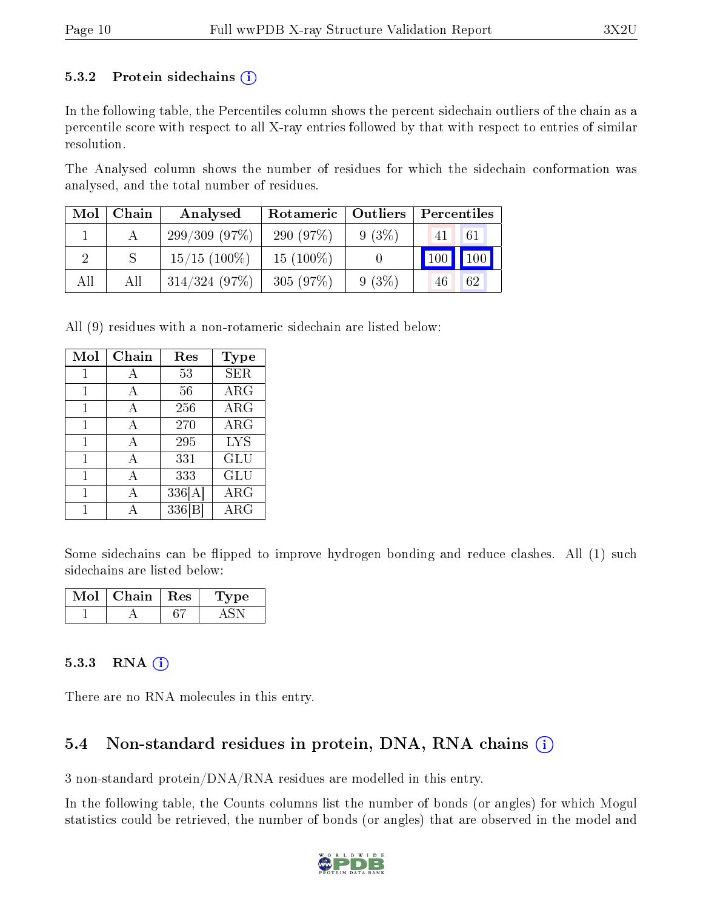#### 5.3.2 Protein sidechains  $(i)$

In the following table, the Percentiles column shows the percent sidechain outliers of the chain as a percentile score with respect to all X-ray entries followed by that with respect to entries of similar resolution.

The Analysed column shows the number of residues for which the sidechain conformation was analysed, and the total number of residues.

| Mol | Chain | Analysed        | Rotameric   Outliers |          | Percentiles   |    |
|-----|-------|-----------------|----------------------|----------|---------------|----|
|     |       | 299/309(97%)    | 290 (97\%)           | $9(3\%)$ | 41            | 61 |
|     |       | $15/15$ (100\%) | $15(100\%)$          |          | $100$   $100$ |    |
| All | All   | 314/324(97%)    | 305(97%)             | $9(3\%)$ | 46            | 62 |

All (9) residues with a non-rotameric sidechain are listed below:

| Mol | Chain | Res    | Type       |
|-----|-------|--------|------------|
| 1   | A     | 53     | <b>SER</b> |
| 1   | A     | 56     | <b>ARG</b> |
| 1   | A     | 256    | $\rm{ARG}$ |
| 1   | A     | 270    | $\rm{ARG}$ |
| 1   | A     | 295    | <b>LYS</b> |
| 1   | A     | 331    | GLU        |
| 1   | А     | 333    | GLU        |
| 1   | А     | 336[A] | $\rm{ARG}$ |
|     |       | 336 B  | $\rm{ARG}$ |

Some sidechains can be flipped to improve hydrogen bonding and reduce clashes. All (1) such sidechains are listed below:

| $\operatorname{Mol}$ $\vdash$ | Chain   Res | vpe |
|-------------------------------|-------------|-----|
|                               |             |     |

#### 5.3.3 RNA  $(i)$

There are no RNA molecules in this entry.

### 5.4 Non-standard residues in protein, DNA, RNA chains  $(i)$

3 non-standard protein/DNA/RNA residues are modelled in this entry.

In the following table, the Counts columns list the number of bonds (or angles) for which Mogul statistics could be retrieved, the number of bonds (or angles) that are observed in the model and

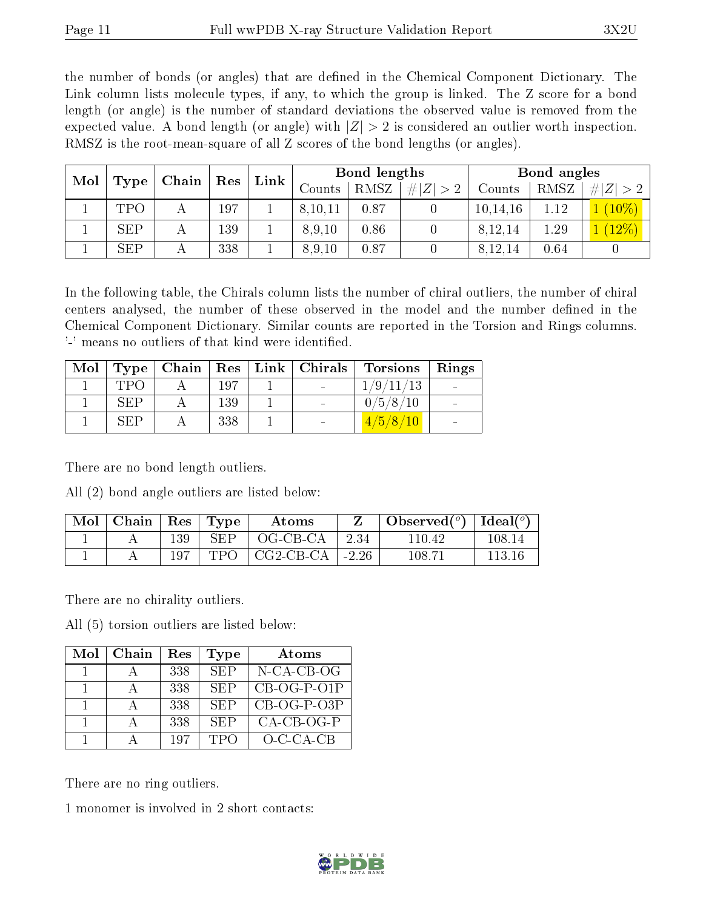the number of bonds (or angles) that are defined in the Chemical Component Dictionary. The Link column lists molecule types, if any, to which the group is linked. The Z score for a bond length (or angle) is the number of standard deviations the observed value is removed from the expected value. A bond length (or angle) with  $|Z| > 2$  is considered an outlier worth inspection. RMSZ is the root-mean-square of all Z scores of the bond lengths (or angles).

| Mol |            |   |     | Res |         |      |  |            |         |         |  |        |      |             |        |      |     |  | Chain | Link |  | Bond lengths |  |  | Bond angles |  |
|-----|------------|---|-----|-----|---------|------|--|------------|---------|---------|--|--------|------|-------------|--------|------|-----|--|-------|------|--|--------------|--|--|-------------|--|
|     | Type       |   |     |     |         |      |  |            |         |         |  | Counts | RMSZ | Z  > 2<br># | Counts | RMSZ | # Z |  |       |      |  |              |  |  |             |  |
|     | TPO        | А | 197 |     | 8,10,11 | 0.87 |  | 10, 14, 16 | $.12\,$ | $10\%$  |  |        |      |             |        |      |     |  |       |      |  |              |  |  |             |  |
|     | <b>SEP</b> | А | 139 |     | 8,9,10  | 0.86 |  | 8,12,14    | 1.29    | $12\%)$ |  |        |      |             |        |      |     |  |       |      |  |              |  |  |             |  |
|     | <b>SEP</b> |   | 338 |     | 8,9,10  | 0.87 |  | 8,12,14    | 0.64    |         |  |        |      |             |        |      |     |  |       |      |  |              |  |  |             |  |

In the following table, the Chirals column lists the number of chiral outliers, the number of chiral centers analysed, the number of these observed in the model and the number defined in the Chemical Component Dictionary. Similar counts are reported in the Torsion and Rings columns. '-' means no outliers of that kind were identified.

|     |     |  | Mol   Type   Chain   Res   Link   Chirals   Torsions   Rings |  |
|-----|-----|--|--------------------------------------------------------------|--|
| TPO | 197 |  | 1/9/11/13                                                    |  |
| SEP | 139 |  | 0/5/8/10                                                     |  |
| SEP | 338 |  | 4/5/8/10                                                     |  |

There are no bond length outliers.

All (2) bond angle outliers are listed below:

| $\text{Mol}$ | ∣ Chain ∣ |     | $\vert$ Res $\vert$ Type | Atoms             |      | Observed $(^\circ)$   Ideal $(^\circ)$ |        |
|--------------|-----------|-----|--------------------------|-------------------|------|----------------------------------------|--------|
|              |           | 139 | <b>SEP</b>               | OG-CB-CA          | 2.34 | 110.42                                 | 108.14 |
|              |           |     | TPO                      | CG2-CB-CA   -2.26 |      | 108.71                                 | 113.16 |

There are no chirality outliers.

All (5) torsion outliers are listed below:

| Mol | Chain | Res | Type       | Atoms         |
|-----|-------|-----|------------|---------------|
|     |       | 338 | <b>SEP</b> | $N$ -CA-CB-OG |
|     |       | 338 | <b>SEP</b> | $CB-OG-P-O1P$ |
|     |       | 338 | SEP        | $CB-OG-P-O3P$ |
|     |       | 338 | <b>SEP</b> | $CA-CB-OG-P$  |
|     |       | 197 | TPO        | $O-C-CA-CB$   |

There are no ring outliers.

1 monomer is involved in 2 short contacts:

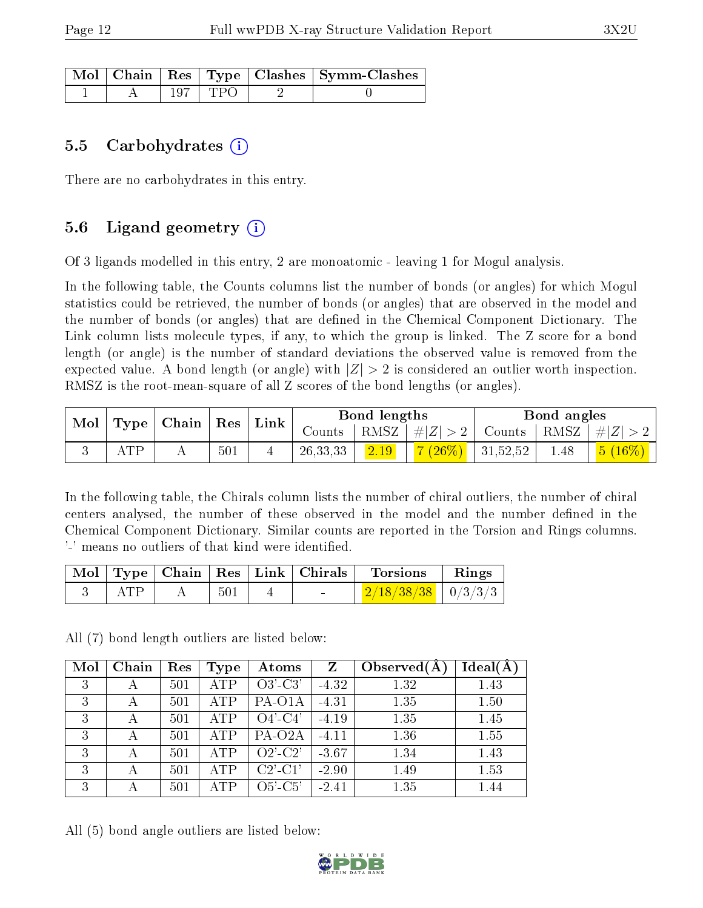|  |           | $\lceil\,\mathrm{Mol}\,\rceil$ Chain   Res   Type   Clashes   Symm-Clashes |
|--|-----------|----------------------------------------------------------------------------|
|  | 197   TPO |                                                                            |

#### 5.5 Carbohydrates  $(i)$

There are no carbohydrates in this entry.

### 5.6 Ligand geometry  $(i)$

Of 3 ligands modelled in this entry, 2 are monoatomic - leaving 1 for Mogul analysis.

In the following table, the Counts columns list the number of bonds (or angles) for which Mogul statistics could be retrieved, the number of bonds (or angles) that are observed in the model and the number of bonds (or angles) that are defined in the Chemical Component Dictionary. The Link column lists molecule types, if any, to which the group is linked. The Z score for a bond length (or angle) is the number of standard deviations the observed value is removed from the expected value. A bond length (or angle) with  $|Z| > 2$  is considered an outlier worth inspection. RMSZ is the root-mean-square of all Z scores of the bond lengths (or angles).

| Type |     | Mol | $\pm$ Chain $^+$ | $\vert$ Res | Link       |      | Bond lengths             |               |      | Bond angles |  |
|------|-----|-----|------------------|-------------|------------|------|--------------------------|---------------|------|-------------|--|
|      |     |     |                  |             | Counts     | RMSZ | #Z  > 2                  | Counts   RMSZ |      | $\# Z $     |  |
|      | ATP |     | 501              |             | 26, 33, 33 | 2.19 | $1.7(26\%)$ <sup>1</sup> | 31,52,52      | 1.48 |             |  |

In the following table, the Chirals column lists the number of chiral outliers, the number of chiral centers analysed, the number of these observed in the model and the number defined in the Chemical Component Dictionary. Similar counts are reported in the Torsion and Rings columns. '-' means no outliers of that kind were identified.

|  |     | Mol   Type   Chain   Res   Link   Chirals | <b>Torsions</b>        | Rings |
|--|-----|-------------------------------------------|------------------------|-------|
|  | 501 | $\sim$                                    | $2/18/38/38$   0/3/3/3 |       |

All (7) bond length outliers are listed below:

| Mol | Chain | Res | Type       | $\boldsymbol{\mathrm{Atoms}}$ | Z       | Observed $(A)$ | Ideal(A) |
|-----|-------|-----|------------|-------------------------------|---------|----------------|----------|
| 3   |       | 501 | <b>ATP</b> | $O3'-C3'$                     | $-4.32$ | 1.32           | 1.43     |
| 3   | А     | 501 | <b>ATP</b> | PA-O1A                        | $-4.31$ | 1.35           | 1.50     |
| 3   |       | 501 | <b>ATP</b> | $O4'-C4'$                     | $-4.19$ | 1.35           | 1.45     |
| 3   | А     | 501 | <b>ATP</b> | PA-O <sub>2</sub> A           | $-4.11$ | 1.36           | 1.55     |
| 3   |       | 501 | <b>ATP</b> | $O2'$ -C2'                    | $-3.67$ | 1.34           | 1.43     |
| 3   |       | 501 | <b>ATP</b> | $C2'$ - $C1'$                 | $-2.90$ | 1.49           | 1.53     |
| 3   |       | 501 | <b>ATP</b> | $O5'-C5'$                     | $-2.41$ | 1.35           | 1.44     |

All (5) bond angle outliers are listed below:

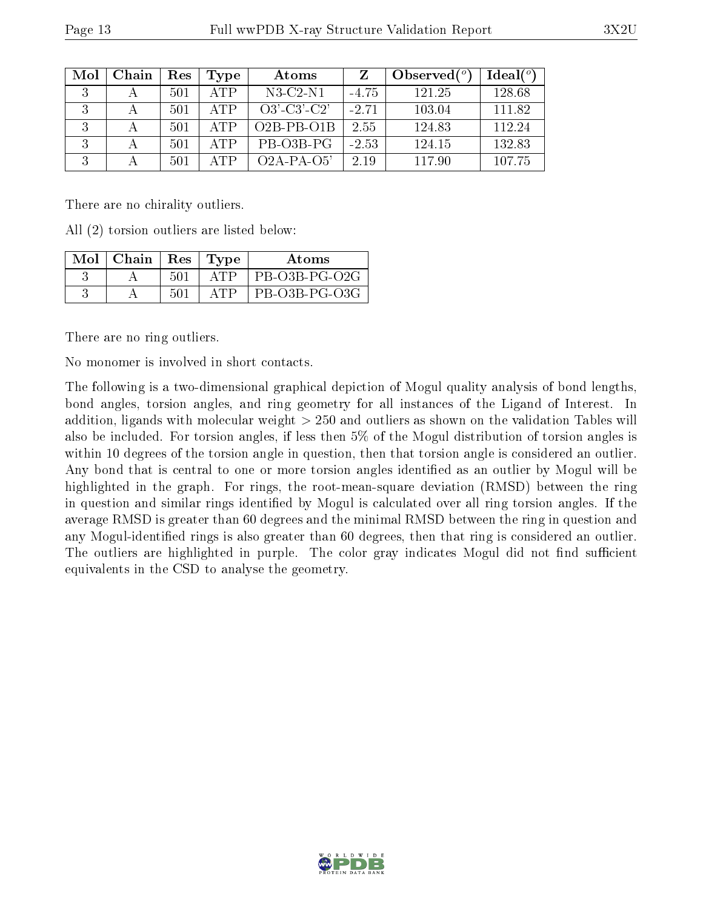| Mol | Chain | Res | Type | Atoms            | Z       | Observed $(°)$ | $Ideal(^o)$ |
|-----|-------|-----|------|------------------|---------|----------------|-------------|
| 3   |       | 501 | ATP  | N3-C2-N1         | $-4.75$ | 121.25         | 128.68      |
| 3   |       | 501 | ATP  | $O3'-C3'-C2'$    | $-2.71$ | 103.04         | 111.82      |
|     |       | 501 | ATP  | $O2B$ -PB- $O1B$ | 2.55    | 124.83         | 112.24      |
| 3   |       | 501 | ATP  | PB-03B-PG        | $-2.53$ | 124.15         | 132.83      |
| 3   |       | 501 | ATP  | $O2A-PA-O5'$     | 2.19    | 117.90         | 107.75      |

There are no chirality outliers.

All (2) torsion outliers are listed below:

| $Mol$   Chain   Res |      | 'Type  | Atoms         |
|---------------------|------|--------|---------------|
|                     | 501  | A' L'P | PB-O3B-PG-O2G |
|                     | -501 |        | PB-O3B-PG-O3G |

There are no ring outliers.

No monomer is involved in short contacts.

The following is a two-dimensional graphical depiction of Mogul quality analysis of bond lengths, bond angles, torsion angles, and ring geometry for all instances of the Ligand of Interest. In addition, ligands with molecular weight > 250 and outliers as shown on the validation Tables will also be included. For torsion angles, if less then 5% of the Mogul distribution of torsion angles is within 10 degrees of the torsion angle in question, then that torsion angle is considered an outlier. Any bond that is central to one or more torsion angles identified as an outlier by Mogul will be highlighted in the graph. For rings, the root-mean-square deviation (RMSD) between the ring in question and similar rings identified by Mogul is calculated over all ring torsion angles. If the average RMSD is greater than 60 degrees and the minimal RMSD between the ring in question and any Mogul-identified rings is also greater than 60 degrees, then that ring is considered an outlier. The outliers are highlighted in purple. The color gray indicates Mogul did not find sufficient equivalents in the CSD to analyse the geometry.

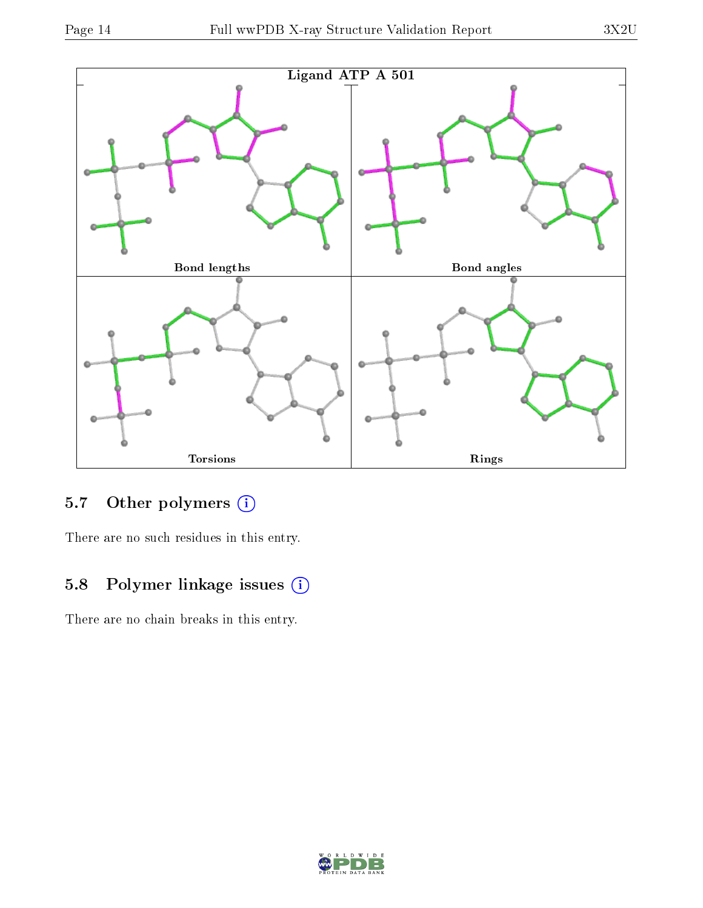

## 5.7 [O](https://www.wwpdb.org/validation/2017/XrayValidationReportHelp#nonstandard_residues_and_ligands)ther polymers (i)

There are no such residues in this entry.

### 5.8 Polymer linkage issues (i)

There are no chain breaks in this entry.

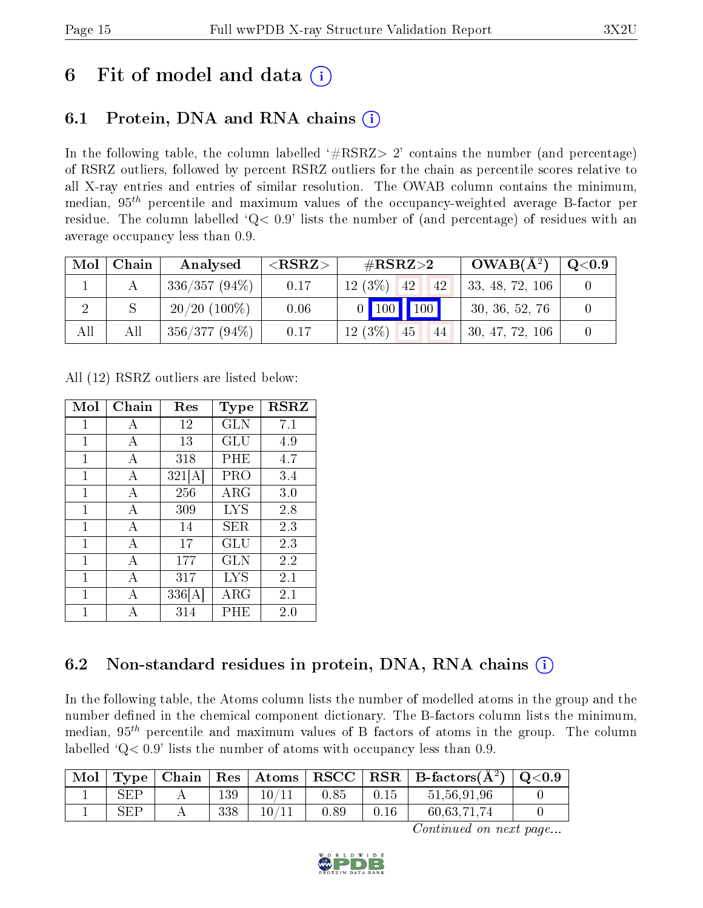## 6 Fit of model and data  $\left( \cdot \right)$

## 6.1 Protein, DNA and RNA chains (i)

In the following table, the column labelled  $#RSRZ>2'$  contains the number (and percentage) of RSRZ outliers, followed by percent RSRZ outliers for the chain as percentile scores relative to all X-ray entries and entries of similar resolution. The OWAB column contains the minimum, median,  $95<sup>th</sup>$  percentile and maximum values of the occupancy-weighted average B-factor per residue. The column labelled  $Q< 0.9$  lists the number of (and percentage) of residues with an average occupancy less than 0.9.

| Mol | Chain | Analysed        | $<$ RSRZ $>$ | $\#\text{RSRZ}{>}2$   | $OWAB(A^2)$     | $\rm Q\textcolor{black}{<}0.9$ |
|-----|-------|-----------------|--------------|-----------------------|-----------------|--------------------------------|
|     |       | $336/357(94\%)$ | 0.17         | $12(3\%)$<br>42<br>42 | 33, 48, 72, 106 |                                |
|     |       | $20/20$ (100\%) | 0.06         | $0$ 100 100           | 30, 36, 52, 76  |                                |
| All | All   | $356/377(94\%)$ | 0.17         | $12(3\%)$<br>45<br>44 | 30, 47, 72, 106 |                                |

All (12) RSRZ outliers are listed below:

| Mol          | Chain | Res    | Type        | <b>RSRZ</b> |
|--------------|-------|--------|-------------|-------------|
| 1            | A     | 12     | <b>GLN</b>  | 7.1         |
| 1            | A     | 13     | GLU         | 4.9         |
| 1            | А     | 318    | PHE         | 4.7         |
| 1            | А     | 321[A] | PRO         | 3.4         |
| 1            | А     | 256    | $\rm{ARG}$  | 3.0         |
| 1            | A     | 309    | <b>LYS</b>  | 2.8         |
| 1            | A     | 14     | SER.        | 2.3         |
| 1            | А     | 17     | GLU         | 2.3         |
| $\mathbf{1}$ | А     | 177    | <b>GLN</b>  | 2.2         |
| 1            | А     | 317    | <b>LYS</b>  | 2.1         |
| 1            | А     | 336[A] | ${\rm ARG}$ | 2.1         |
| 1            | А     | 314    | PHE         | $2.0\,$     |

## 6.2 Non-standard residues in protein, DNA, RNA chains  $(i)$

In the following table, the Atoms column lists the number of modelled atoms in the group and the number defined in the chemical component dictionary. The B-factors column lists the minimum, median,  $95<sup>th</sup>$  percentile and maximum values of B factors of atoms in the group. The column labelled  $Q< 0.9$ ' lists the number of atoms with occupancy less than 0.9.

| $\text{Mol}$ |                             |     |       |      |      | $\mid$ Type $\mid$ Chain $\mid$ Res $\mid$ Atoms $\mid$ RSCC $\mid$ RSR $\mid$ B-factors(A <sup>2</sup> ) $\mid$ Q<0.9 |  |
|--------------|-----------------------------|-----|-------|------|------|------------------------------------------------------------------------------------------------------------------------|--|
|              | SFP                         | 139 | 10/11 | 0.85 | 0.15 | 51,56,91,96                                                                                                            |  |
|              | $\mathcal{R}$ $\mathcal{F}$ | 338 | 10/11 | 0.89 | 0.16 | 60,63,71,74                                                                                                            |  |

Continued on next page...

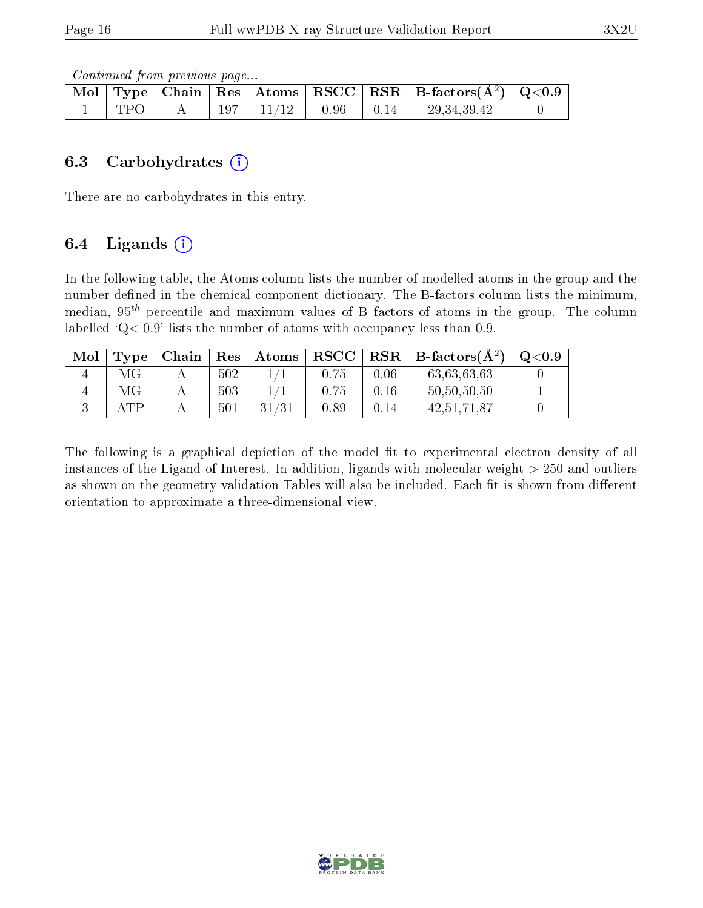Continued from previous page...

|     |  |                        |                                                      | $\boxed{\text{Mol} \mid \text{Type} \mid \text{Chain} \mid \text{Res} \mid \text{Atoms} \mid \text{RSCC} \mid \text{RSR} \mid \text{B-factors}(\AA^2) \mid \text{Q}<0.9}$ |  |
|-----|--|------------------------|------------------------------------------------------|---------------------------------------------------------------------------------------------------------------------------------------------------------------------------|--|
| ΓPΩ |  | $197$   $11/12$   0.96 | $\begin{array}{c} \begin{array}{c} \end{array}$ 0.14 | 29.34.39.42                                                                                                                                                               |  |

#### 6.3 Carbohydrates (i)

There are no carbohydrates in this entry.

### 6.4 Ligands  $(i)$

In the following table, the Atoms column lists the number of modelled atoms in the group and the number defined in the chemical component dictionary. The B-factors column lists the minimum, median,  $95<sup>th</sup>$  percentile and maximum values of B factors of atoms in the group. The column labelled  $Q< 0.9$ ' lists the number of atoms with occupancy less than 0.9.

| Mol | Type | Chain | $\mid$ Res $\mid$ | $\vert$ Atoms | $_{\rm RSCC}$ | $\mid$ RSR $\mid$ | $ $ B-factors( $A^2$ ) | $\mathrm{O}{<}0.9$ |
|-----|------|-------|-------------------|---------------|---------------|-------------------|------------------------|--------------------|
|     | МG   |       | 502               |               | 0.75          | 0.06              | 63,63,63,63            |                    |
|     | МG   |       | 503               |               | 0.75          | 0.16              | 50,50,50,50            |                    |
|     | AΤP  |       | 501               |               | 0.89          | 0.14              | 42, 51, 71, 87         |                    |

The following is a graphical depiction of the model fit to experimental electron density of all instances of the Ligand of Interest. In addition, ligands with molecular weight  $> 250$  and outliers as shown on the geometry validation Tables will also be included. Each fit is shown from different orientation to approximate a three-dimensional view.